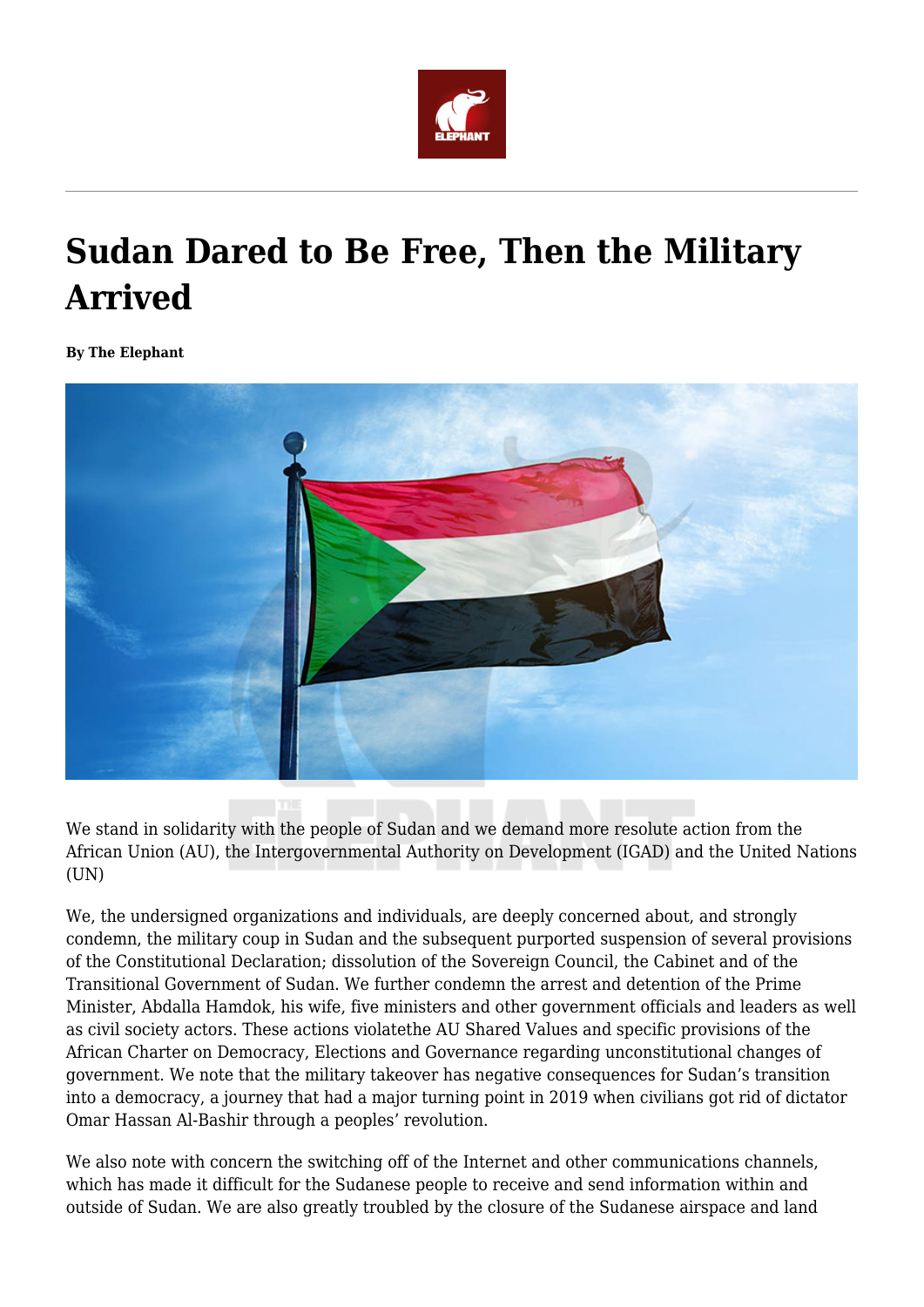

## **Sudan Dared to Be Free, Then the Military Arrived**

**By The Elephant**



We stand in solidarity with the people of Sudan and we demand more resolute action from the African Union (AU), the Intergovernmental Authority on Development (IGAD) and the United Nations (UN)

We, the undersigned organizations and individuals, are deeply concerned about, and strongly condemn, the military coup in Sudan and the subsequent purported suspension of several provisions of the Constitutional Declaration; dissolution of the Sovereign Council, the Cabinet and of the Transitional Government of Sudan. We further condemn the arrest and detention of the Prime Minister, Abdalla Hamdok, his wife, five ministers and other government officials and leaders as well as civil society actors. These actions violatethe AU Shared Values and specific provisions of the African Charter on Democracy, Elections and Governance regarding unconstitutional changes of government. We note that the military takeover has negative consequences for Sudan's transition into a democracy, a journey that had a major turning point in 2019 when civilians got rid of dictator Omar Hassan Al-Bashir through a peoples' revolution.

We also note with concern the switching off of the Internet and other communications channels, which has made it difficult for the Sudanese people to receive and send information within and outside of Sudan. We are also greatly troubled by the closure of the Sudanese airspace and land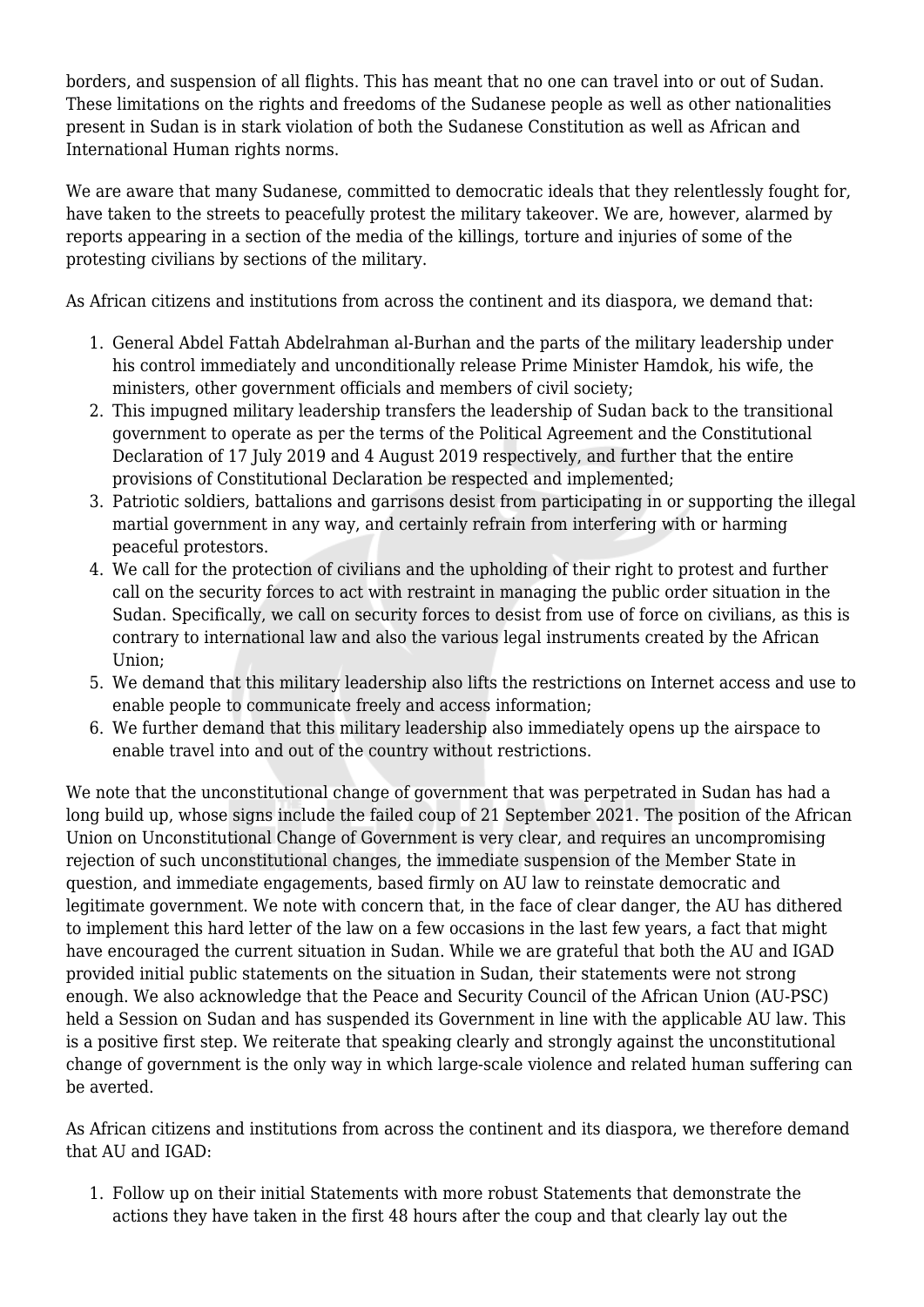borders, and suspension of all flights. This has meant that no one can travel into or out of Sudan. These limitations on the rights and freedoms of the Sudanese people as well as other nationalities present in Sudan is in stark violation of both the Sudanese Constitution as well as African and International Human rights norms.

We are aware that many Sudanese, committed to democratic ideals that they relentlessly fought for, have taken to the streets to peacefully protest the military takeover. We are, however, alarmed by reports appearing in a section of the media of the killings, torture and injuries of some of the protesting civilians by sections of the military.

As African citizens and institutions from across the continent and its diaspora, we demand that:

- 1. General Abdel Fattah Abdelrahman al-Burhan and the parts of the military leadership under his control immediately and unconditionally release Prime Minister Hamdok, his wife, the ministers, other government officials and members of civil society;
- 2. This impugned military leadership transfers the leadership of Sudan back to the transitional government to operate as per the terms of the Political Agreement and the Constitutional Declaration of 17 July 2019 and 4 August 2019 respectively, and further that the entire provisions of Constitutional Declaration be respected and implemented;
- 3. Patriotic soldiers, battalions and garrisons desist from participating in or supporting the illegal martial government in any way, and certainly refrain from interfering with or harming peaceful protestors.
- 4. We call for the protection of civilians and the upholding of their right to protest and further call on the security forces to act with restraint in managing the public order situation in the Sudan. Specifically, we call on security forces to desist from use of force on civilians, as this is contrary to international law and also the various legal instruments created by the African Union;
- 5. We demand that this military leadership also lifts the restrictions on Internet access and use to enable people to communicate freely and access information;
- 6. We further demand that this military leadership also immediately opens up the airspace to enable travel into and out of the country without restrictions.

We note that the unconstitutional change of government that was perpetrated in Sudan has had a long build up, whose signs include the failed coup of 21 September 2021. The position of the African Union on Unconstitutional Change of Government is very clear, and requires an uncompromising rejection of such unconstitutional changes, the immediate suspension of the Member State in question, and immediate engagements, based firmly on AU law to reinstate democratic and legitimate government. We note with concern that, in the face of clear danger, the AU has dithered to implement this hard letter of the law on a few occasions in the last few years, a fact that might have encouraged the current situation in Sudan. While we are grateful that both the AU and IGAD provided initial public statements on the situation in Sudan, their statements were not strong enough. We also acknowledge that the Peace and Security Council of the African Union (AU-PSC) held a Session on Sudan and has suspended its Government in line with the applicable AU law. This is a positive first step. We reiterate that speaking clearly and strongly against the unconstitutional change of government is the only way in which large-scale violence and related human suffering can be averted.

As African citizens and institutions from across the continent and its diaspora, we therefore demand that AU and IGAD:

1. Follow up on their initial Statements with more robust Statements that demonstrate the actions they have taken in the first 48 hours after the coup and that clearly lay out the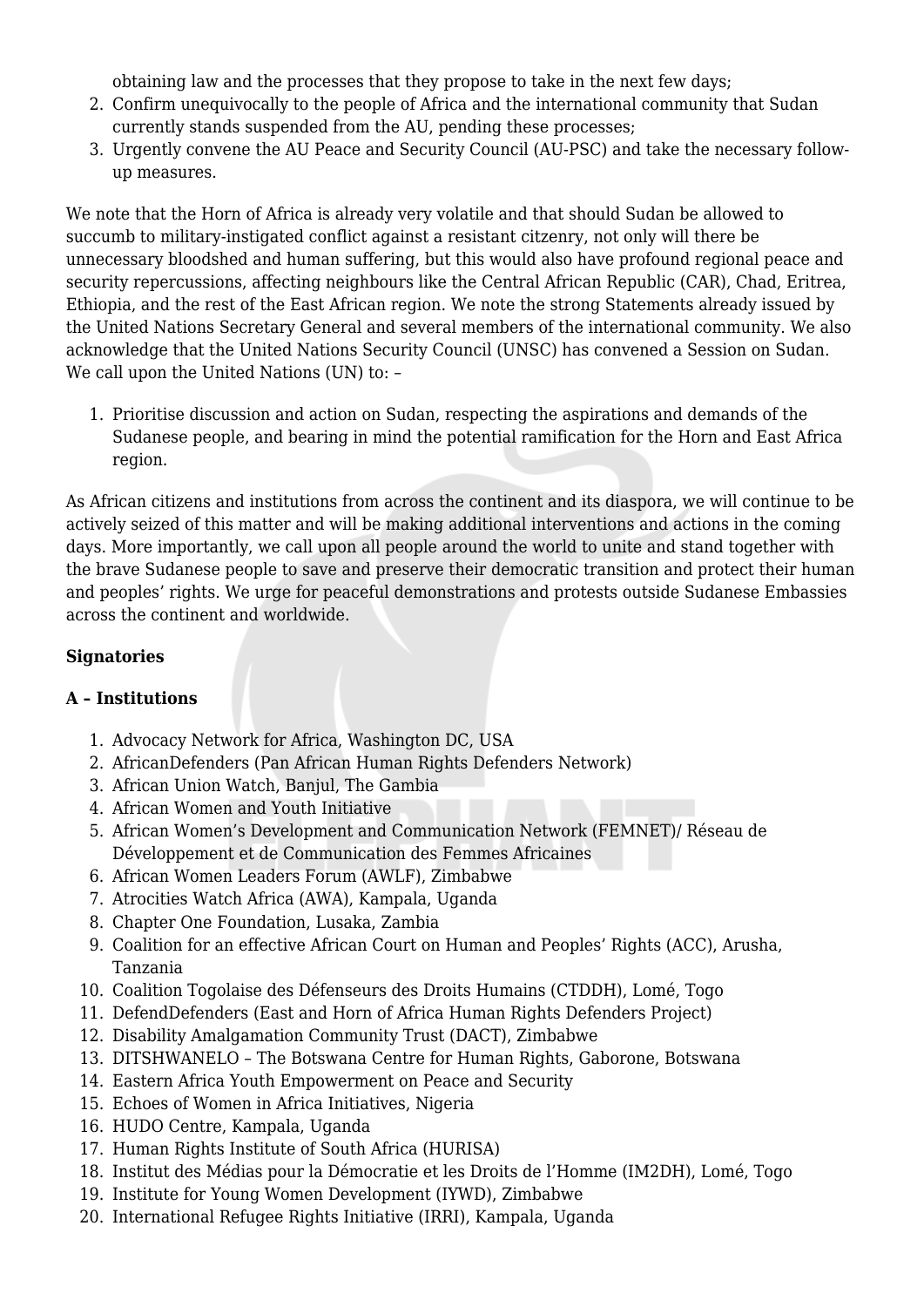obtaining law and the processes that they propose to take in the next few days;

- 2. Confirm unequivocally to the people of Africa and the international community that Sudan currently stands suspended from the AU, pending these processes;
- 3. Urgently convene the AU Peace and Security Council (AU-PSC) and take the necessary followup measures.

We note that the Horn of Africa is already very volatile and that should Sudan be allowed to succumb to military-instigated conflict against a resistant citzenry, not only will there be unnecessary bloodshed and human suffering, but this would also have profound regional peace and security repercussions, affecting neighbours like the Central African Republic (CAR), Chad, Eritrea, Ethiopia, and the rest of the East African region. We note the strong Statements already issued by the United Nations Secretary General and several members of the international community. We also acknowledge that the United Nations Security Council (UNSC) has convened a Session on Sudan. We call upon the United Nations (UN) to: -

1. Prioritise discussion and action on Sudan, respecting the aspirations and demands of the Sudanese people, and bearing in mind the potential ramification for the Horn and East Africa region.

As African citizens and institutions from across the continent and its diaspora, we will continue to be actively seized of this matter and will be making additional interventions and actions in the coming days. More importantly, we call upon all people around the world to unite and stand together with the brave Sudanese people to save and preserve their democratic transition and protect their human and peoples' rights. We urge for peaceful demonstrations and protests outside Sudanese Embassies across the continent and worldwide.

## **Signatories**

## **A – Institutions**

- 1. Advocacy Network for Africa, Washington DC, USA
- 2. AfricanDefenders (Pan African Human Rights Defenders Network)
- 3. African Union Watch, Banjul, The Gambia
- 4. African Women and Youth Initiative
- 5. African Women's Development and Communication Network (FEMNET)/ Réseau de Développement et de Communication des Femmes Africaines
- 6. African Women Leaders Forum (AWLF), Zimbabwe
- 7. Atrocities Watch Africa (AWA), Kampala, Uganda
- 8. Chapter One Foundation, Lusaka, Zambia
- 9. Coalition for an effective African Court on Human and Peoples' Rights (ACC), Arusha, Tanzania
- 10. Coalition Togolaise des Défenseurs des Droits Humains (CTDDH), Lomé, Togo
- 11. DefendDefenders (East and Horn of Africa Human Rights Defenders Project)
- 12. Disability Amalgamation Community Trust (DACT), Zimbabwe
- 13. DITSHWANELO The Botswana Centre for Human Rights, Gaborone, Botswana
- 14. Eastern Africa Youth Empowerment on Peace and Security
- 15. Echoes of Women in Africa Initiatives, Nigeria
- 16. HUDO Centre, Kampala, Uganda
- 17. Human Rights Institute of South Africa (HURISA)
- 18. Institut des Médias pour la Démocratie et les Droits de l'Homme (IM2DH), Lomé, Togo
- 19. Institute for Young Women Development (IYWD), Zimbabwe
- 20. International Refugee Rights Initiative (IRRI), Kampala, Uganda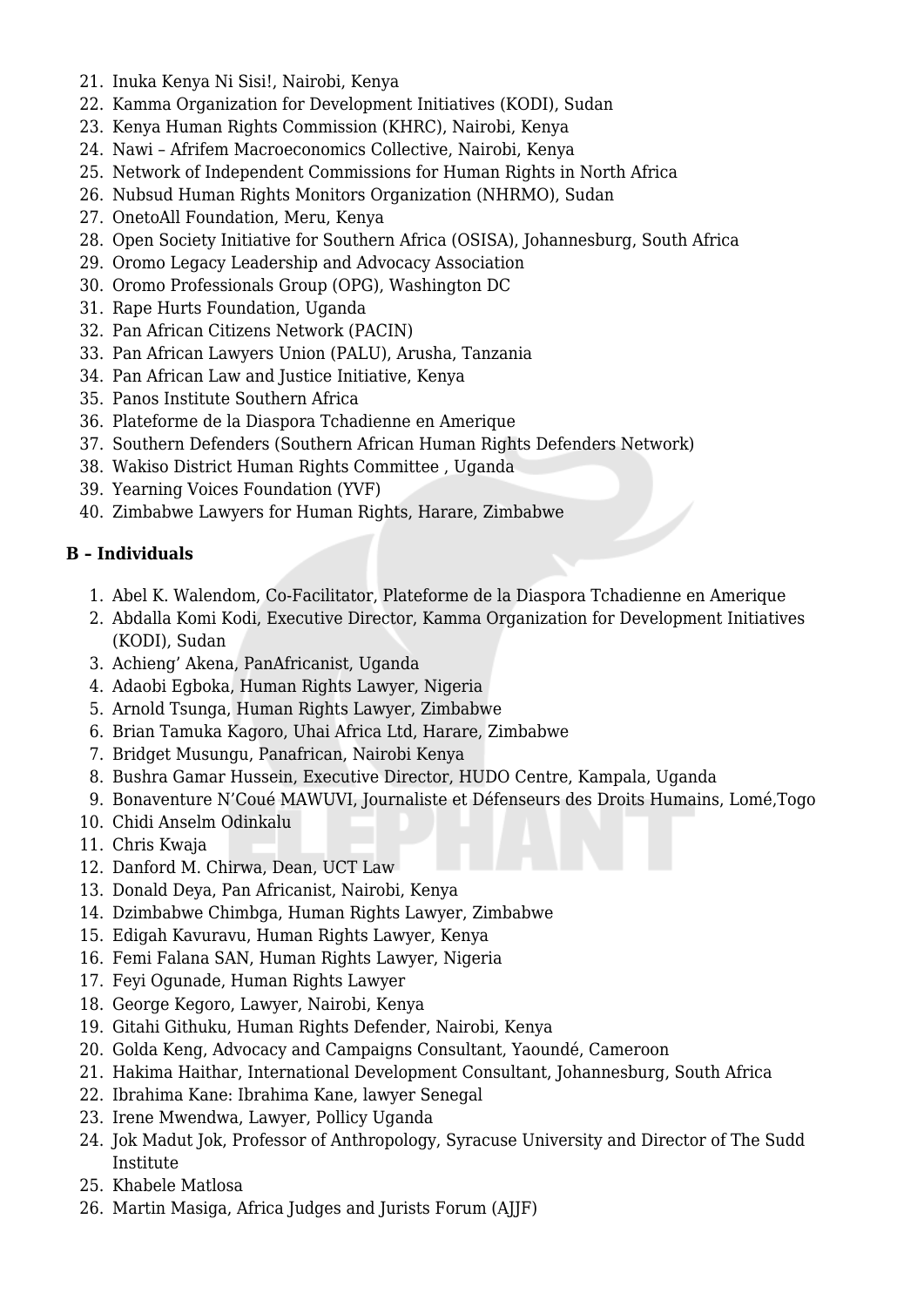- 21. Inuka Kenya Ni Sisi!, Nairobi, Kenya
- 22. Kamma Organization for Development Initiatives (KODI), Sudan
- 23. Kenya Human Rights Commission (KHRC), Nairobi, Kenya
- 24. Nawi Afrifem Macroeconomics Collective, Nairobi, Kenya
- 25. Network of Independent Commissions for Human Rights in North Africa
- 26. Nubsud Human Rights Monitors Organization (NHRMO), Sudan
- 27. OnetoAll Foundation, Meru, Kenya
- 28. Open Society Initiative for Southern Africa (OSISA), Johannesburg, South Africa
- 29. Oromo Legacy Leadership and Advocacy Association
- 30. Oromo Professionals Group (OPG), Washington DC
- 31. Rape Hurts Foundation, Uganda
- 32. Pan African Citizens Network (PACIN)
- 33. Pan African Lawyers Union (PALU), Arusha, Tanzania
- 34. Pan African Law and Justice Initiative, Kenya
- 35. Panos Institute Southern Africa
- 36. Plateforme de la Diaspora Tchadienne en Amerique
- 37. Southern Defenders (Southern African Human Rights Defenders Network)
- 38. Wakiso District Human Rights Committee , Uganda
- 39. Yearning Voices Foundation (YVF)
- 40. Zimbabwe Lawyers for Human Rights, Harare, Zimbabwe

## **B – Individuals**

- 1. Abel K. Walendom, Co-Facilitator, Plateforme de la Diaspora Tchadienne en Amerique
- 2. Abdalla Komi Kodi, Executive Director, Kamma Organization for Development Initiatives (KODI), Sudan
- 3. Achieng' Akena, PanAfricanist, Uganda
- 4. Adaobi Egboka, Human Rights Lawyer, Nigeria
- 5. Arnold Tsunga, Human Rights Lawyer, Zimbabwe
- 6. Brian Tamuka Kagoro, Uhai Africa Ltd, Harare, Zimbabwe
- 7. Bridget Musungu, Panafrican, Nairobi Kenya
- 8. Bushra Gamar Hussein, Executive Director, HUDO Centre, Kampala, Uganda
- 9. Bonaventure N'Coué MAWUVI, Journaliste et Défenseurs des Droits Humains, Lomé,Togo
- 10. Chidi Anselm Odinkalu
- 11. Chris Kwaja
- 12. Danford M. Chirwa, Dean, UCT Law
- 13. Donald Deya, Pan Africanist, Nairobi, Kenya
- 14. Dzimbabwe Chimbga, Human Rights Lawyer, Zimbabwe
- 15. Edigah Kavuravu, Human Rights Lawyer, Kenya
- 16. Femi Falana SAN, Human Rights Lawyer, Nigeria
- 17. Feyi Ogunade, Human Rights Lawyer
- 18. George Kegoro, Lawyer, Nairobi, Kenya
- 19. Gitahi Githuku, Human Rights Defender, Nairobi, Kenya
- 20. Golda Keng, Advocacy and Campaigns Consultant, Yaoundé, Cameroon
- 21. Hakima Haithar, International Development Consultant, Johannesburg, South Africa
- 22. Ibrahima Kane: Ibrahima Kane, lawyer Senegal
- 23. Irene Mwendwa, Lawyer, Pollicy Uganda
- 24. Jok Madut Jok, Professor of Anthropology, Syracuse University and Director of The Sudd Institute
- 25. Khabele Matlosa
- 26. Martin Masiga, Africa Judges and Jurists Forum (AJJF)